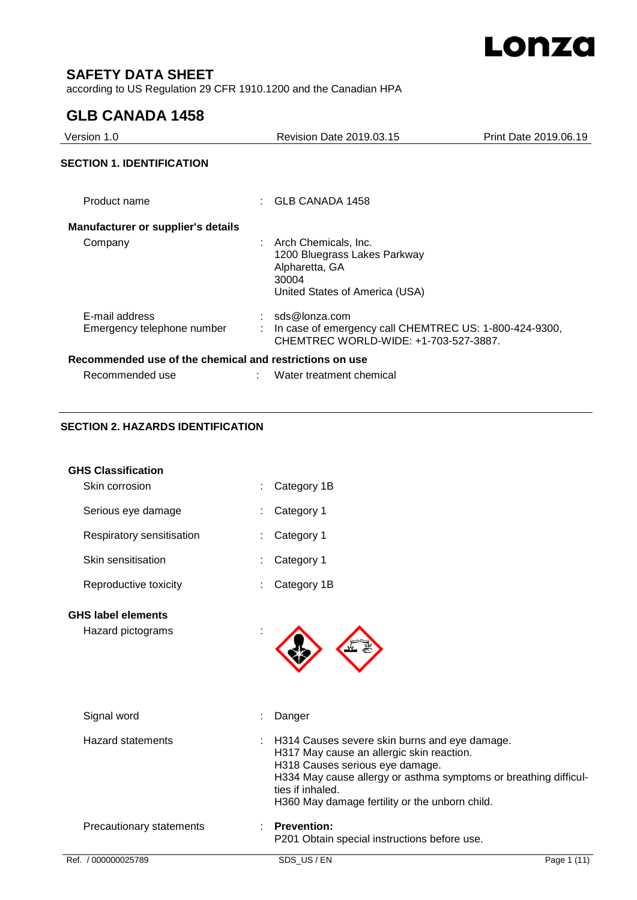

# **SAFETY DATA SHEET**

according to US Regulation 29 CFR 1910.1200 and the Canadian HPA

# **GLB CANADA 1458**

| Version 1.0                                             | <b>Revision Date 2019.03.15</b>                                                                                      | Print Date 2019.06.19 |
|---------------------------------------------------------|----------------------------------------------------------------------------------------------------------------------|-----------------------|
| <b>SECTION 1. IDENTIFICATION</b>                        |                                                                                                                      |                       |
| Product name                                            | GLB CANADA 1458                                                                                                      |                       |
| <b>Manufacturer or supplier's details</b>               |                                                                                                                      |                       |
| Company                                                 | : Arch Chemicals, Inc.<br>1200 Bluegrass Lakes Parkway<br>Alpharetta, GA<br>30004<br>United States of America (USA)  |                       |
| E-mail address<br>Emergency telephone number            | $:$ sds@lonza.com<br>In case of emergency call CHEMTREC US: 1-800-424-9300,<br>CHEMTREC WORLD-WIDE: +1-703-527-3887. |                       |
| Recommended use of the chemical and restrictions on use |                                                                                                                      |                       |
| Recommended use                                         | Water treatment chemical                                                                                             |                       |

# **SECTION 2. HAZARDS IDENTIFICATION**

| <b>GHS Classification</b>                      |                                                                                                                                                                                                                                                                         |             |
|------------------------------------------------|-------------------------------------------------------------------------------------------------------------------------------------------------------------------------------------------------------------------------------------------------------------------------|-------------|
| Skin corrosion                                 | Category 1B                                                                                                                                                                                                                                                             |             |
| Serious eye damage                             | Category 1                                                                                                                                                                                                                                                              |             |
| Respiratory sensitisation                      | Category 1                                                                                                                                                                                                                                                              |             |
| Skin sensitisation                             | Category 1                                                                                                                                                                                                                                                              |             |
| Reproductive toxicity                          | Category 1B                                                                                                                                                                                                                                                             |             |
| <b>GHS label elements</b><br>Hazard pictograms |                                                                                                                                                                                                                                                                         |             |
| Signal word                                    | Danger                                                                                                                                                                                                                                                                  |             |
| <b>Hazard statements</b>                       | H314 Causes severe skin burns and eye damage.<br>H317 May cause an allergic skin reaction.<br>H318 Causes serious eye damage.<br>H334 May cause allergy or asthma symptoms or breathing difficul-<br>ties if inhaled.<br>H360 May damage fertility or the unborn child. |             |
| Precautionary statements                       | <b>Prevention:</b><br>P201 Obtain special instructions before use.                                                                                                                                                                                                      |             |
| Ref. / 000000025789                            | SDS US/EN                                                                                                                                                                                                                                                               | Page 1 (11) |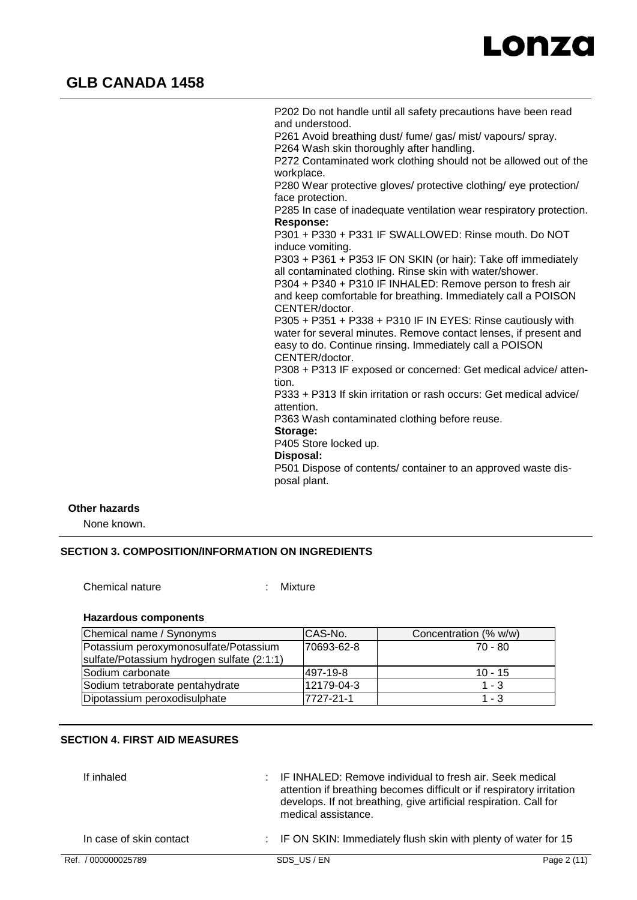

P202 Do not handle until all safety precautions have been read and understood. P261 Avoid breathing dust/ fume/ gas/ mist/ vapours/ spray. P264 Wash skin thoroughly after handling. P272 Contaminated work clothing should not be allowed out of the workplace. P280 Wear protective gloves/ protective clothing/ eye protection/ face protection. P285 In case of inadequate ventilation wear respiratory protection. **Response:**  P301 + P330 + P331 IF SWALLOWED: Rinse mouth. Do NOT induce vomiting. P303 + P361 + P353 IF ON SKIN (or hair): Take off immediately all contaminated clothing. Rinse skin with water/shower. P304 + P340 + P310 IF INHALED: Remove person to fresh air and keep comfortable for breathing. Immediately call a POISON CENTER/doctor. P305 + P351 + P338 + P310 IF IN EYES: Rinse cautiously with water for several minutes. Remove contact lenses, if present and easy to do. Continue rinsing. Immediately call a POISON CENTER/doctor. P308 + P313 IF exposed or concerned: Get medical advice/ attention. P333 + P313 If skin irritation or rash occurs: Get medical advice/ attention. P363 Wash contaminated clothing before reuse. **Storage:**  P405 Store locked up. **Disposal:**  P501 Dispose of contents/ container to an approved waste disposal plant.

### **Other hazards**

None known.

## **SECTION 3. COMPOSITION/INFORMATION ON INGREDIENTS**

Chemical nature : Mixture

#### **Hazardous components**

| Chemical name / Synonyms                   | CAS-No.    | Concentration (% w/w) |
|--------------------------------------------|------------|-----------------------|
| Potassium peroxymonosulfate/Potassium      | 70693-62-8 | 70 - 80               |
| sulfate/Potassium hydrogen sulfate (2:1:1) |            |                       |
| lSodium carbonate                          | 497-19-8   | $10 - 15$             |
| Sodium tetraborate pentahydrate            | 12179-04-3 | $1 - 3$               |
| Dipotassium peroxodisulphate               | 7727-21-1  | $1 - 3$               |

## **SECTION 4. FIRST AID MEASURES**

| If inhaled              | : IF INHALED: Remove individual to fresh air. Seek medical<br>attention if breathing becomes difficult or if respiratory irritation<br>develops. If not breathing, give artificial respiration. Call for<br>medical assistance. |             |
|-------------------------|---------------------------------------------------------------------------------------------------------------------------------------------------------------------------------------------------------------------------------|-------------|
| In case of skin contact | $\therefore$ IF ON SKIN: Immediately flush skin with plenty of water for 15                                                                                                                                                     |             |
| Ref. / 000000025789     | SDS US/EN                                                                                                                                                                                                                       | Page 2 (11) |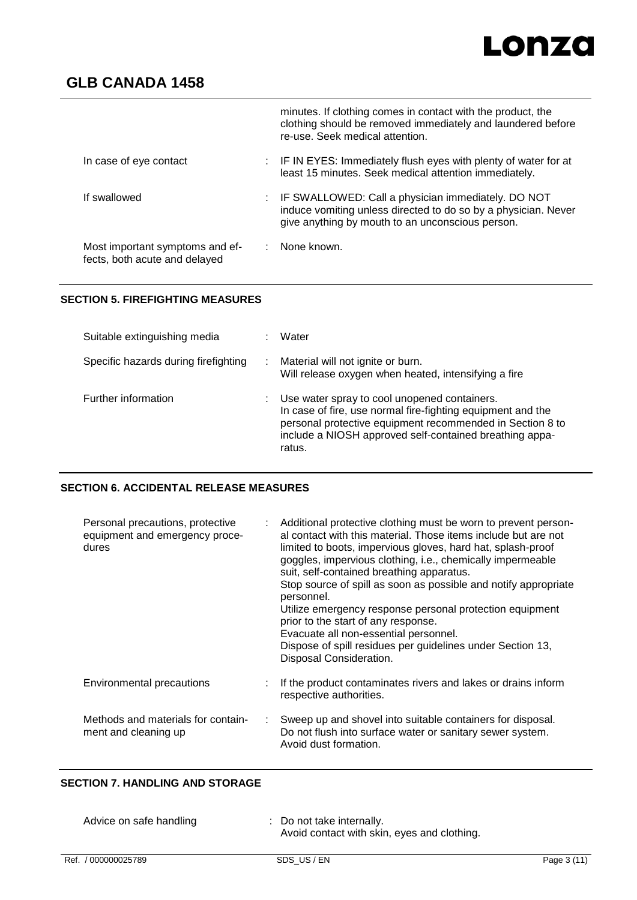# Lonza

# **GLB CANADA 1458**

|                                                                  | minutes. If clothing comes in contact with the product, the<br>clothing should be removed immediately and laundered before<br>re-use. Seek medical attention.              |
|------------------------------------------------------------------|----------------------------------------------------------------------------------------------------------------------------------------------------------------------------|
| In case of eye contact                                           | : IF IN EYES: Immediately flush eyes with plenty of water for at<br>least 15 minutes. Seek medical attention immediately.                                                  |
| If swallowed                                                     | : IF SWALLOWED: Call a physician immediately. DO NOT<br>induce vomiting unless directed to do so by a physician. Never<br>give anything by mouth to an unconscious person. |
| Most important symptoms and ef-<br>fects, both acute and delayed | $\therefore$ None known.                                                                                                                                                   |

## **SECTION 5. FIREFIGHTING MEASURES**

| Suitable extinguishing media         | Water                                                                                                                                                                                                                                         |
|--------------------------------------|-----------------------------------------------------------------------------------------------------------------------------------------------------------------------------------------------------------------------------------------------|
| Specific hazards during firefighting | Material will not ignite or burn.<br>Will release oxygen when heated, intensifying a fire                                                                                                                                                     |
| Further information                  | Use water spray to cool unopened containers.<br>In case of fire, use normal fire-fighting equipment and the<br>personal protective equipment recommended in Section 8 to<br>include a NIOSH approved self-contained breathing appa-<br>ratus. |

# **SECTION 6. ACCIDENTAL RELEASE MEASURES**

| Personal precautions, protective<br>equipment and emergency proce-<br>dures | Additional protective clothing must be worn to prevent person-<br>al contact with this material. Those items include but are not<br>limited to boots, impervious gloves, hard hat, splash-proof<br>goggles, impervious clothing, i.e., chemically impermeable<br>suit, self-contained breathing apparatus.<br>Stop source of spill as soon as possible and notify appropriate<br>personnel.<br>Utilize emergency response personal protection equipment<br>prior to the start of any response.<br>Evacuate all non-essential personnel.<br>Dispose of spill residues per guidelines under Section 13,<br>Disposal Consideration. |
|-----------------------------------------------------------------------------|----------------------------------------------------------------------------------------------------------------------------------------------------------------------------------------------------------------------------------------------------------------------------------------------------------------------------------------------------------------------------------------------------------------------------------------------------------------------------------------------------------------------------------------------------------------------------------------------------------------------------------|
| Environmental precautions                                                   | If the product contaminates rivers and lakes or drains inform<br>respective authorities.                                                                                                                                                                                                                                                                                                                                                                                                                                                                                                                                         |
| Methods and materials for contain-<br>÷<br>ment and cleaning up             | Sweep up and shovel into suitable containers for disposal.<br>Do not flush into surface water or sanitary sewer system.<br>Avoid dust formation.                                                                                                                                                                                                                                                                                                                                                                                                                                                                                 |

# **SECTION 7. HANDLING AND STORAGE**

| Advice on safe handling | : Do not take internally.<br>Avoid contact with skin, eyes and clothing. |
|-------------------------|--------------------------------------------------------------------------|
|-------------------------|--------------------------------------------------------------------------|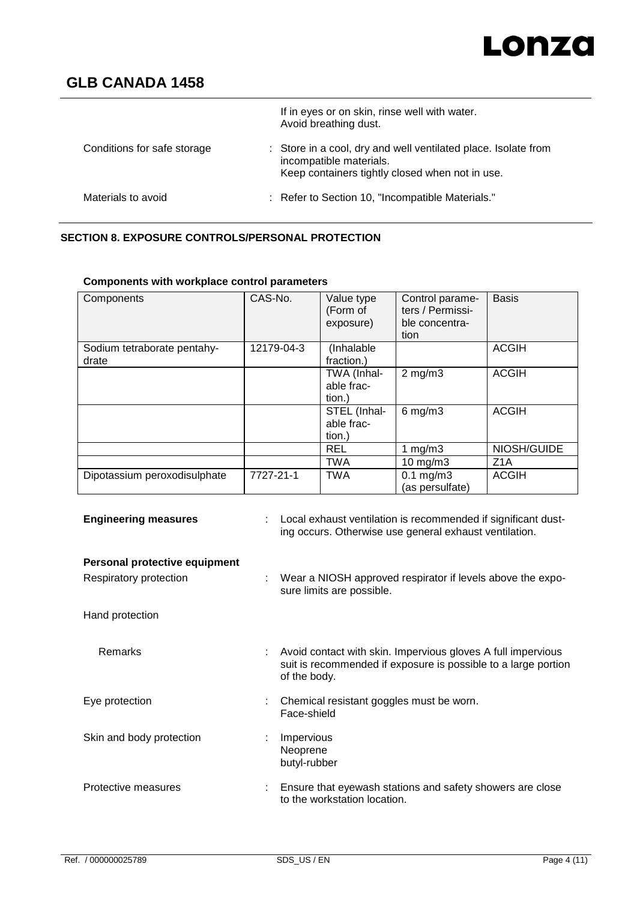# Lonza

# **GLB CANADA 1458**

|                             | If in eyes or on skin, rinse well with water.<br>Avoid breathing dust.                                                                       |
|-----------------------------|----------------------------------------------------------------------------------------------------------------------------------------------|
| Conditions for safe storage | : Store in a cool, dry and well ventilated place. Isolate from<br>incompatible materials.<br>Keep containers tightly closed when not in use. |
| Materials to avoid          | : Refer to Section 10, "Incompatible Materials."                                                                                             |

# **SECTION 8. EXPOSURE CONTROLS/PERSONAL PROTECTION**

| <b>Components with workplace control parameters</b> |            |                                      |                                                               |                  |
|-----------------------------------------------------|------------|--------------------------------------|---------------------------------------------------------------|------------------|
| Components                                          | CAS-No.    | Value type<br>(Form of<br>exposure)  | Control parame-<br>ters / Permissi-<br>ble concentra-<br>tion | <b>Basis</b>     |
| Sodium tetraborate pentahy-<br>drate                | 12179-04-3 | (Inhalable<br>fraction.)             |                                                               | <b>ACGIH</b>     |
|                                                     |            | TWA (Inhal-<br>able frac-<br>tion.)  | $2$ mg/m $3$                                                  | <b>ACGIH</b>     |
|                                                     |            | STEL (Inhal-<br>able frac-<br>tion.) | $6$ mg/m $3$                                                  | <b>ACGIH</b>     |
|                                                     |            | <b>REL</b>                           | 1 mg/m $3$                                                    | NIOSH/GUIDE      |
|                                                     |            | <b>TWA</b>                           | $10$ mg/m $3$                                                 | Z <sub>1</sub> A |
| Dipotassium peroxodisulphate                        | 7727-21-1  | <b>TWA</b>                           | $0.1$ mg/m $3$<br>(as persulfate)                             | <b>ACGIH</b>     |

| <b>Engineering measures</b>                             | Local exhaust ventilation is recommended if significant dust-<br>ing occurs. Otherwise use general exhaust ventilation.                        |
|---------------------------------------------------------|------------------------------------------------------------------------------------------------------------------------------------------------|
| Personal protective equipment<br>Respiratory protection | Wear a NIOSH approved respirator if levels above the expo-<br>sure limits are possible.                                                        |
| Hand protection                                         |                                                                                                                                                |
| <b>Remarks</b>                                          | Avoid contact with skin. Impervious gloves A full impervious<br>suit is recommended if exposure is possible to a large portion<br>of the body. |
| Eye protection                                          | Chemical resistant goggles must be worn.<br>Face-shield                                                                                        |
| Skin and body protection                                | Impervious<br>Neoprene<br>butyl-rubber                                                                                                         |
| Protective measures                                     | Ensure that eyewash stations and safety showers are close<br>to the workstation location.                                                      |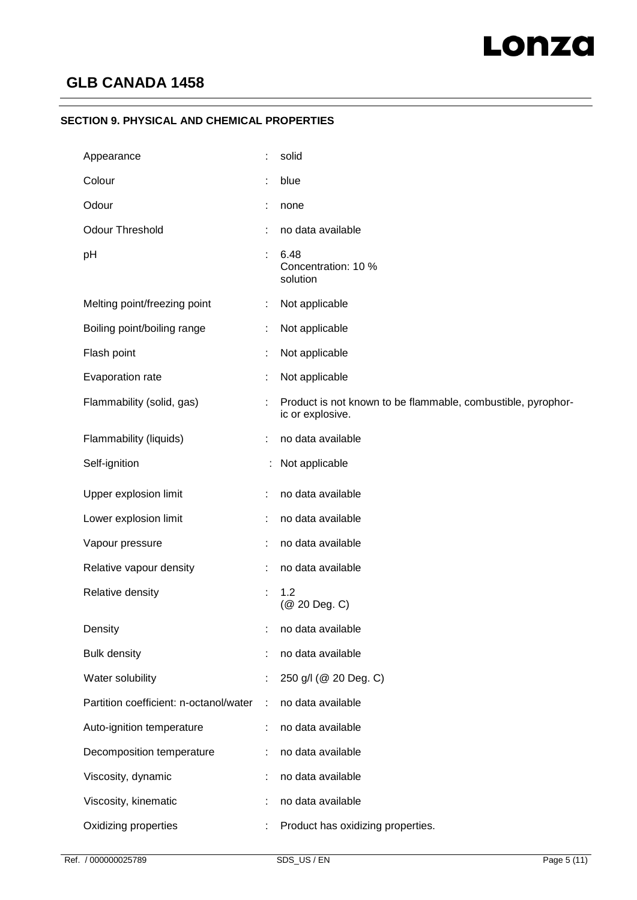## **SECTION 9. PHYSICAL AND CHEMICAL PROPERTIES**

| Appearance                             |   | solid                                                                            |
|----------------------------------------|---|----------------------------------------------------------------------------------|
| Colour                                 |   | blue                                                                             |
| Odour                                  |   | none                                                                             |
| <b>Odour Threshold</b>                 | t | no data available                                                                |
| pH                                     |   | 6.48<br>Concentration: 10 %<br>solution                                          |
| Melting point/freezing point           | ÷ | Not applicable                                                                   |
| Boiling point/boiling range            | ÷ | Not applicable                                                                   |
| Flash point                            |   | Not applicable                                                                   |
| Evaporation rate                       | ÷ | Not applicable                                                                   |
| Flammability (solid, gas)              |   | Product is not known to be flammable, combustible, pyrophor-<br>ic or explosive. |
| Flammability (liquids)                 |   | no data available                                                                |
| Self-ignition                          |   | Not applicable                                                                   |
| Upper explosion limit                  |   | no data available                                                                |
| Lower explosion limit                  | ÷ | no data available                                                                |
| Vapour pressure                        |   | no data available                                                                |
| Relative vapour density                |   | no data available                                                                |
| Relative density                       | ÷ | 1.2<br>(@ 20 Deg. C)                                                             |
| Density                                | t | no data available                                                                |
| <b>Bulk density</b>                    |   | no data available                                                                |
| Water solubility                       | t | 250 g/l (@ 20 Deg. C)                                                            |
| Partition coefficient: n-octanol/water | ÷ | no data available                                                                |
| Auto-ignition temperature              | ÷ | no data available                                                                |
| Decomposition temperature              |   | no data available                                                                |
| Viscosity, dynamic                     |   | no data available                                                                |
| Viscosity, kinematic                   |   | no data available                                                                |
| Oxidizing properties                   |   | Product has oxidizing properties.                                                |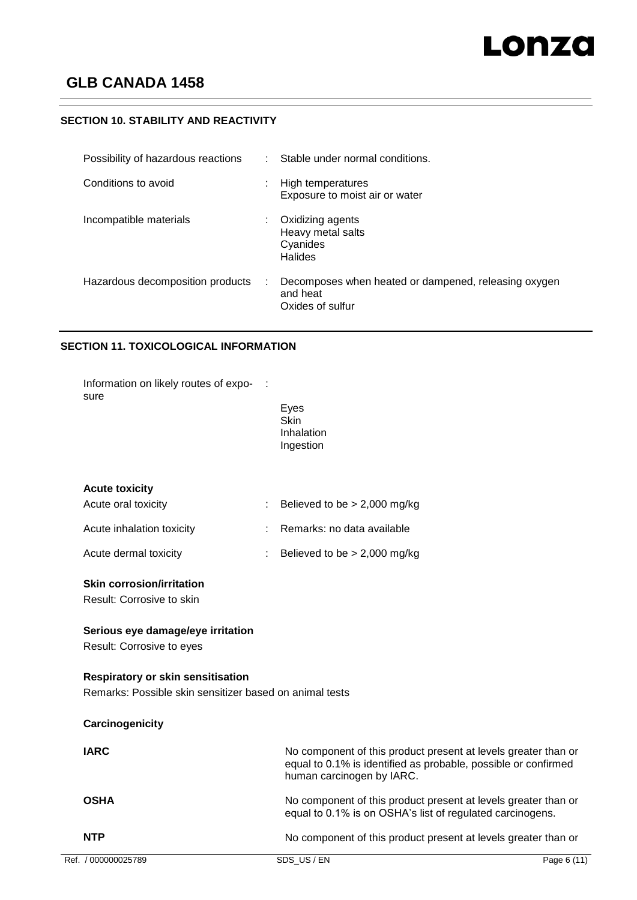# **SECTION 10. STABILITY AND REACTIVITY**

| Possibility of hazardous reactions |    | Stable under normal conditions.                                                      |
|------------------------------------|----|--------------------------------------------------------------------------------------|
| Conditions to avoid                | ٠  | High temperatures<br>Exposure to moist air or water                                  |
| Incompatible materials             | ÷. | Oxidizing agents<br>Heavy metal salts<br>Cyanides<br><b>Halides</b>                  |
| Hazardous decomposition products   |    | Decomposes when heated or dampened, releasing oxygen<br>and heat<br>Oxides of sulfur |

## **SECTION 11. TOXICOLOGICAL INFORMATION**

| Ref. / 000000025789                                            | SDS US/EN                                                                                                                                                     | Page 6 (11) |
|----------------------------------------------------------------|---------------------------------------------------------------------------------------------------------------------------------------------------------------|-------------|
| <b>NTP</b>                                                     | No component of this product present at levels greater than or                                                                                                |             |
| <b>OSHA</b>                                                    | No component of this product present at levels greater than or<br>equal to 0.1% is on OSHA's list of regulated carcinogens.                                   |             |
| <b>IARC</b>                                                    | No component of this product present at levels greater than or<br>equal to 0.1% is identified as probable, possible or confirmed<br>human carcinogen by IARC. |             |
| Carcinogenicity                                                |                                                                                                                                                               |             |
| Remarks: Possible skin sensitizer based on animal tests        |                                                                                                                                                               |             |
| <b>Respiratory or skin sensitisation</b>                       |                                                                                                                                                               |             |
| Serious eye damage/eye irritation<br>Result: Corrosive to eyes |                                                                                                                                                               |             |
| <b>Skin corrosion/irritation</b><br>Result: Corrosive to skin  |                                                                                                                                                               |             |
| Acute dermal toxicity                                          | Believed to be $> 2,000$ mg/kg                                                                                                                                |             |
| Acute inhalation toxicity                                      | Remarks: no data available                                                                                                                                    |             |
| Acute oral toxicity                                            | Believed to be $> 2,000$ mg/kg                                                                                                                                |             |
| <b>Acute toxicity</b>                                          | <b>Skin</b><br>Inhalation<br>Ingestion                                                                                                                        |             |
| Information on likely routes of expo-<br>sure                  | Eyes                                                                                                                                                          |             |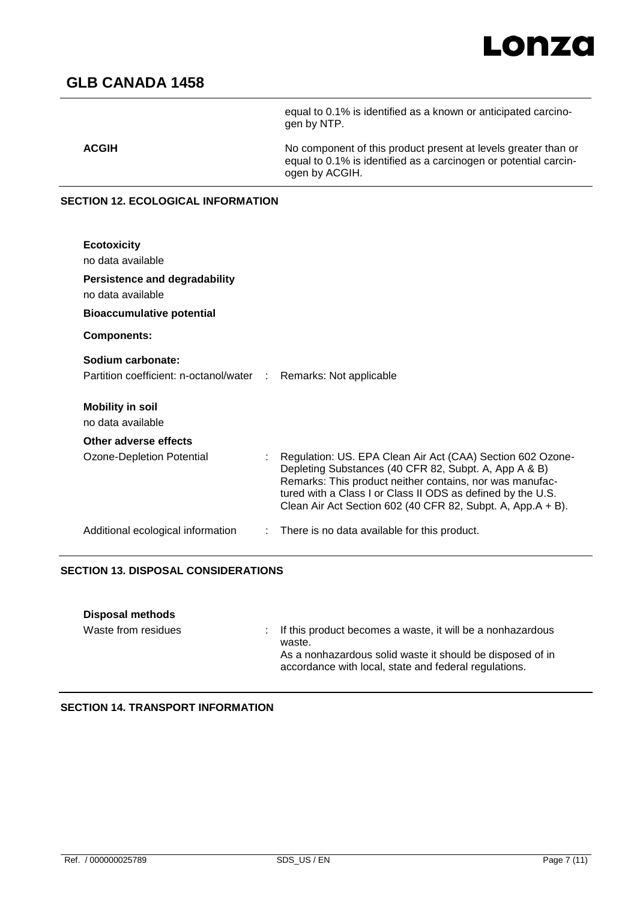

equal to 0.1% is identified as a known or anticipated carcino-

# **GLB CANADA 1458**

|                                                                                       | gen by NTP.                                                                                                                                          |
|---------------------------------------------------------------------------------------|------------------------------------------------------------------------------------------------------------------------------------------------------|
| <b>ACGIH</b>                                                                          | No component of this product present at levels greater than or<br>equal to 0.1% is identified as a carcinogen or potential carcin-<br>ogen by ACGIH. |
| SECTION 12. ECOLOGICAL INFORMATION                                                    |                                                                                                                                                      |
| <b>Ecotoxicity</b><br>no data available                                               |                                                                                                                                                      |
| <b>Persistence and degradability</b><br>no data available                             |                                                                                                                                                      |
| <b>Bioaccumulative potential</b>                                                      |                                                                                                                                                      |
| <b>Components:</b>                                                                    |                                                                                                                                                      |
| Sodium carbonate:<br>Partition coefficient: n-octanol/water : Remarks: Not applicable |                                                                                                                                                      |
| <b>Mobility in soil</b><br>no data available                                          |                                                                                                                                                      |
| Other adverse effects                                                                 |                                                                                                                                                      |
| Ozone-Depletion Potential                                                             | Regulation: US. EPA Clean Air Act (CAA) Section 602 Ozone-<br>Depleting Substances (40 CFR 82, Subpt. A, App A & B)                                  |

Remarks: This product neither contains, nor was manufactured with a Class I or Class II ODS as defined by the U.S. Clean Air Act Section 602 (40 CFR 82, Subpt. A, App.A + B). Additional ecological information : There is no data available for this product.

## **SECTION 13. DISPOSAL CONSIDERATIONS**

| <b>Disposal methods</b> |                                                                                                                                                                                              |
|-------------------------|----------------------------------------------------------------------------------------------------------------------------------------------------------------------------------------------|
| Waste from residues     | : If this product becomes a waste, it will be a nonhazardous<br>waste.<br>As a nonhazardous solid waste it should be disposed of in<br>accordance with local, state and federal regulations. |

**SECTION 14. TRANSPORT INFORMATION**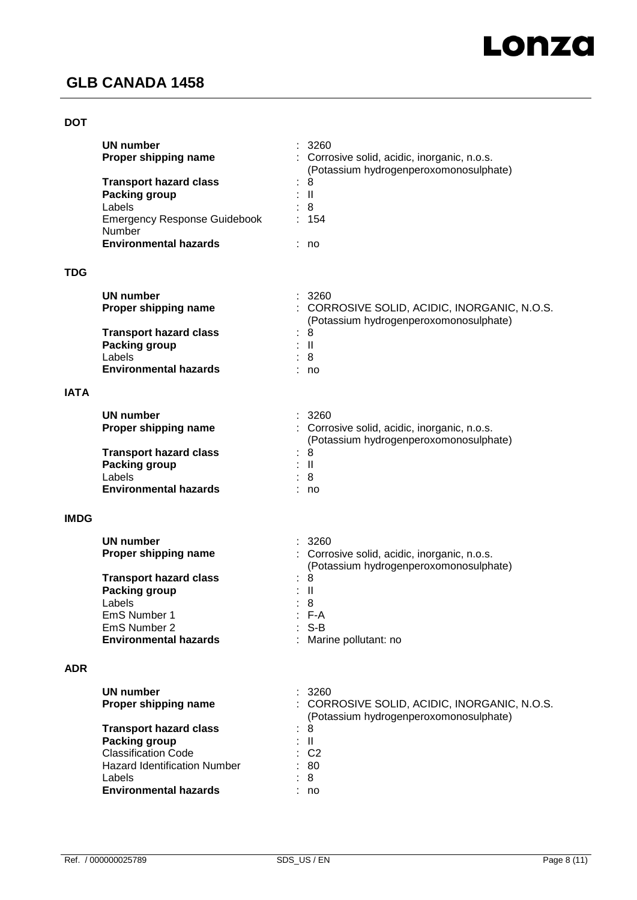## **DOT**

|             | <b>UN number</b><br>Proper shipping name                                                                                                                             | 3260<br>Corrosive solid, acidic, inorganic, n.o.s.<br>(Potassium hydrogenperoxomonosulphate)   |
|-------------|----------------------------------------------------------------------------------------------------------------------------------------------------------------------|------------------------------------------------------------------------------------------------|
|             | <b>Transport hazard class</b><br><b>Packing group</b><br>Labels<br><b>Emergency Response Guidebook</b><br>Number                                                     | 8<br>$\ensuremath{\mathsf{II}}$<br>8<br>154                                                    |
|             | <b>Environmental hazards</b>                                                                                                                                         | no                                                                                             |
| <b>TDG</b>  |                                                                                                                                                                      |                                                                                                |
|             | <b>UN number</b><br>Proper shipping name                                                                                                                             | 3260<br>: CORROSIVE SOLID, ACIDIC, INORGANIC, N.O.S.<br>(Potassium hydrogenperoxomonosulphate) |
|             | <b>Transport hazard class</b><br><b>Packing group</b><br>Labels<br><b>Environmental hazards</b>                                                                      | 8<br>$\mathbf{II}$<br>8<br>no                                                                  |
| <b>IATA</b> |                                                                                                                                                                      |                                                                                                |
|             | <b>UN number</b><br>Proper shipping name                                                                                                                             | 3260<br>: Corrosive solid, acidic, inorganic, n.o.s.<br>(Potassium hydrogenperoxomonosulphate) |
|             | <b>Transport hazard class</b><br><b>Packing group</b><br>Labels<br><b>Environmental hazards</b>                                                                      | 8<br>$\mathbf{I}$<br>8<br>no                                                                   |
| <b>IMDG</b> |                                                                                                                                                                      |                                                                                                |
|             | <b>UN number</b><br>Proper shipping name                                                                                                                             | 3260<br>: Corrosive solid, acidic, inorganic, n.o.s.<br>(Potassium hydrogenperoxomonosulphate) |
|             | <b>Transport hazard class</b><br><b>Packing group</b><br>Labels<br>EmS Number 1                                                                                      | 8<br>Ш<br>8<br>$F-A$                                                                           |
|             | EmS Number 2<br><b>Environmental hazards</b>                                                                                                                         | : S-B<br>: Marine pollutant: no                                                                |
| <b>ADR</b>  |                                                                                                                                                                      |                                                                                                |
|             | <b>UN number</b><br>Proper shipping name                                                                                                                             | 3260<br>: CORROSIVE SOLID, ACIDIC, INORGANIC, N.O.S.<br>(Potassium hydrogenperoxomonosulphate) |
|             | <b>Transport hazard class</b><br><b>Packing group</b><br><b>Classification Code</b><br><b>Hazard Identification Number</b><br>Labels<br><b>Environmental hazards</b> | -8<br>Ш<br>C <sub>2</sub><br>80<br>8<br>no                                                     |
|             |                                                                                                                                                                      |                                                                                                |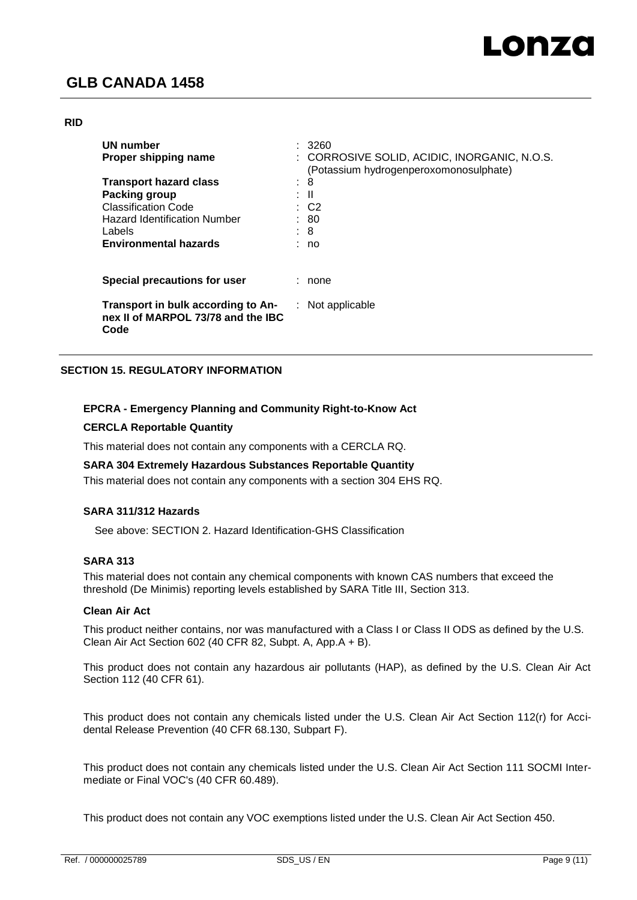#### **RID**

| <b>UN number</b><br>Proper shipping name                                         |   | 3260<br>: CORROSIVE SOLID, ACIDIC, INORGANIC, N.O.S.<br>(Potassium hydrogenperoxomonosulphate) |
|----------------------------------------------------------------------------------|---|------------------------------------------------------------------------------------------------|
| <b>Transport hazard class</b>                                                    | ٠ | 8                                                                                              |
| Packing group                                                                    |   | : II                                                                                           |
| <b>Classification Code</b>                                                       |   | : C2                                                                                           |
| <b>Hazard Identification Number</b>                                              |   | : 80                                                                                           |
| Labels                                                                           |   | : 8                                                                                            |
| <b>Environmental hazards</b>                                                     |   | no                                                                                             |
| Special precautions for user                                                     |   | none                                                                                           |
| Transport in bulk according to An-<br>nex II of MARPOL 73/78 and the IBC<br>Code |   | $:$ Not applicable                                                                             |

## **SECTION 15. REGULATORY INFORMATION**

## **EPCRA - Emergency Planning and Community Right-to-Know Act**

#### **CERCLA Reportable Quantity**

This material does not contain any components with a CERCLA RQ.

#### **SARA 304 Extremely Hazardous Substances Reportable Quantity**

This material does not contain any components with a section 304 EHS RQ.

## **SARA 311/312 Hazards**

See above: SECTION 2. Hazard Identification-GHS Classification

#### **SARA 313**

This material does not contain any chemical components with known CAS numbers that exceed the threshold (De Minimis) reporting levels established by SARA Title III, Section 313.

#### **Clean Air Act**

This product neither contains, nor was manufactured with a Class I or Class II ODS as defined by the U.S. Clean Air Act Section 602 (40 CFR 82, Subpt. A, App.A + B).

This product does not contain any hazardous air pollutants (HAP), as defined by the U.S. Clean Air Act Section 112 (40 CFR 61).

This product does not contain any chemicals listed under the U.S. Clean Air Act Section 112(r) for Accidental Release Prevention (40 CFR 68.130, Subpart F).

This product does not contain any chemicals listed under the U.S. Clean Air Act Section 111 SOCMI Intermediate or Final VOC's (40 CFR 60.489).

This product does not contain any VOC exemptions listed under the U.S. Clean Air Act Section 450.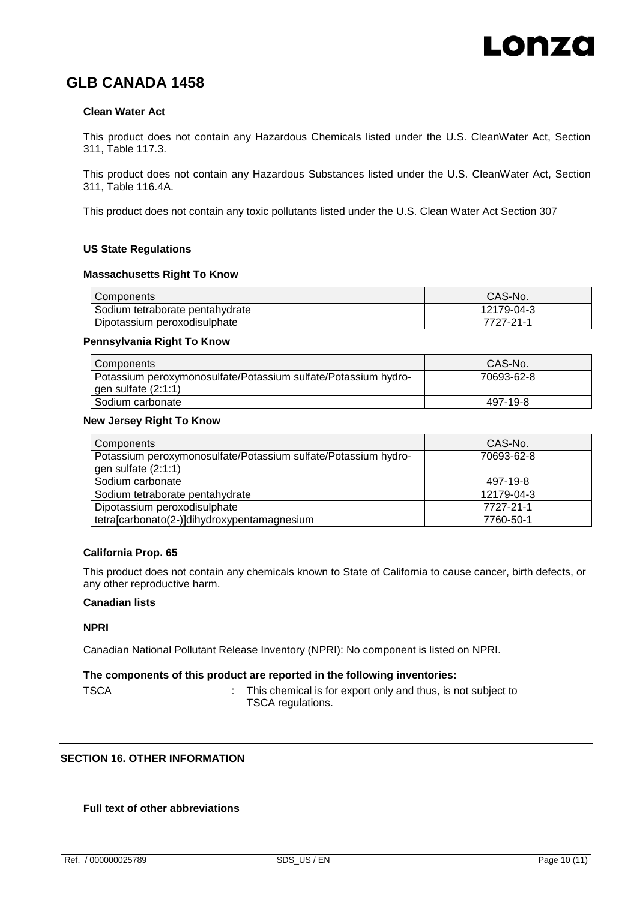### **Clean Water Act**

This product does not contain any Hazardous Chemicals listed under the U.S. CleanWater Act, Section 311, Table 117.3.

This product does not contain any Hazardous Substances listed under the U.S. CleanWater Act, Section 311, Table 116.4A.

This product does not contain any toxic pollutants listed under the U.S. Clean Water Act Section 307

#### **US State Regulations**

#### **Massachusetts Right To Know**

| Components                      | CAS-No.    |
|---------------------------------|------------|
| Sodium tetraborate pentahydrate | 12179-04-3 |
| Dipotassium peroxodisulphate    | 7727-21-1  |

#### **Pennsylvania Right To Know**

| Components                                                                                | CAS-No.    |
|-------------------------------------------------------------------------------------------|------------|
| Potassium peroxymonosulfate/Potassium sulfate/Potassium hydro-<br>$gen$ sulfate $(2:1:1)$ | 70693-62-8 |
| Sodium carbonate                                                                          | 497-19-8   |

#### **New Jersey Right To Know**

| Components                                                     | CAS-No.    |
|----------------------------------------------------------------|------------|
| Potassium peroxymonosulfate/Potassium sulfate/Potassium hydro- | 70693-62-8 |
| gen sulfate (2:1:1)                                            |            |
| Sodium carbonate                                               | 497-19-8   |
| Sodium tetraborate pentahydrate                                | 12179-04-3 |
| Dipotassium peroxodisulphate                                   | 7727-21-1  |
| tetra[carbonato(2-)]dihydroxypentamagnesium                    | 7760-50-1  |

#### **California Prop. 65**

This product does not contain any chemicals known to State of California to cause cancer, birth defects, or any other reproductive harm.

#### **Canadian lists**

#### **NPRI**

Canadian National Pollutant Release Inventory (NPRI): No component is listed on NPRI.

#### **The components of this product are reported in the following inventories:**

TSCA **:** This chemical is for export only and thus, is not subject to TSCA regulations.

## **SECTION 16. OTHER INFORMATION**

#### **Full text of other abbreviations**